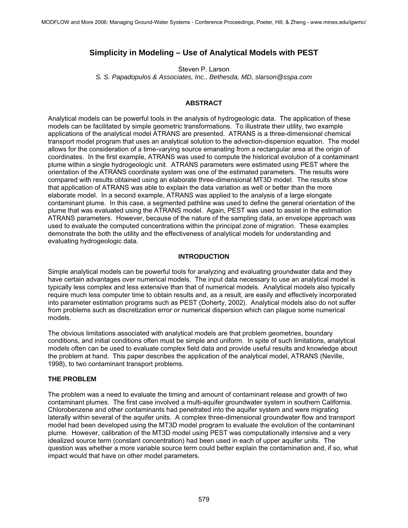# **Simplicity in Modeling – Use of Analytical Models with PEST**

Steven P. Larson *S. S. Papadopulos & Associates, Inc., Bethesda, MD, slarson@sspa.com* 

# **ABSTRACT**

Analytical models can be powerful tools in the analysis of hydrogeologic data. The application of these models can be facilitated by simple geometric transformations. To illustrate their utility, two example applications of the analytical model ATRANS are presented. ATRANS is a three-dimensional chemical transport model program that uses an analytical solution to the advection-dispersion equation. The model allows for the consideration of a time-varying source emanating from a rectangular area at the origin of coordinates. In the first example, ATRANS was used to compute the historical evolution of a contaminant plume within a single hydrogeologic unit. ATRANS parameters were estimated using PEST where the orientation of the ATRANS coordinate system was one of the estimated parameters. The results were compared with results obtained using an elaborate three-dimensional MT3D model. The results show that application of ATRANS was able to explain the data variation as well or better than the more elaborate model. In a second example, ATRANS was applied to the analysis of a large elongate contaminant plume. In this case, a segmented pathline was used to define the general orientation of the plume that was evaluated using the ATRANS model. Again, PEST was used to assist in the estimation ATRANS parameters. However, because of the nature of the sampling data, an envelope approach was used to evaluate the computed concentrations within the principal zone of migration. These examples demonstrate the both the utility and the effectiveness of analytical models for understanding and evaluating hydrogeologic data.

### **INTRODUCTION**

Simple analytical models can be powerful tools for analyzing and evaluating groundwater data and they have certain advantages over numerical models. The input data necessary to use an analytical model is typically less complex and less extensive than that of numerical models. Analytical models also typically require much less computer time to obtain results and, as a result, are easily and effectively incorporated into parameter estimation programs such as PEST (Doherty, 2002). Analytical models also do not suffer from problems such as discretization error or numerical dispersion which can plague some numerical models.

The obvious limitations associated with analytical models are that problem geometries, boundary conditions, and initial conditions often must be simple and uniform. In spite of such limitations, analytical models often can be used to evaluate complex field data and provide useful results and knowledge about the problem at hand. This paper describes the application of the analytical model, ATRANS (Neville, 1998), to two contaminant transport problems.

### **THE PROBLEM**

The problem was a need to evaluate the timing and amount of contaminant release and growth of two contaminant plumes. The first case involved a multi-aquifer groundwater system in southern California. Chlorobenzene and other contaminants had penetrated into the aquifer system and were migrating laterally within several of the aquifer units. A complex three-dimensional groundwater flow and transport model had been developed using the MT3D model program to evaluate the evolution of the contaminant plume. However, calibration of the MT3D model using PEST was computationally intensive and a very idealized source term (constant concentration) had been used in each of upper aquifer units. The question was whether a more variable source term could better explain the contamination and, if so, what impact would that have on other model parameters.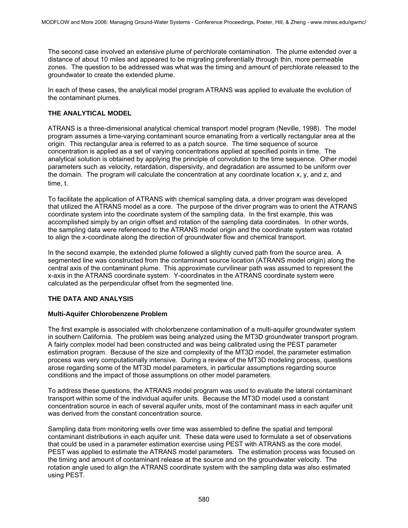The second case involved an extensive plume of perchlorate contamination. The plume extended over a distance of about 10 miles and appeared to be migrating preferentially through thin, more permeable zones. The question to be addressed was what was the timing and amount of perchlorate released to the groundwater to create the extended plume.

In each of these cases, the analytical model program ATRANS was applied to evaluate the evolution of the contaminant plumes.

# **THE ANALYTICAL MODEL**

ATRANS is a three-dimensional analytical chemical transport model program (Neville, 1998). The model program assumes a time-varying contaminant source emanating from a vertically rectangular area at the origin. This rectangular area is referred to as a patch source. The time sequence of source concentration is applied as a set of varying concentrations applied at specified points in time. The analytical solution is obtained by applying the principle of convolution to the time sequence. Other model parameters such as velocity, retardation, dispersivity, and degradation are assumed to be uniform over the domain. The program will calculate the concentration at any coordinate location x, y, and z, and time, t.

To facilitate the application of ATRANS with chemical sampling data, a driver program was developed that utilized the ATRANS model as a core. The purpose of the driver program was to orient the ATRANS coordinate system into the coordinate system of the sampling data. In the first example, this was accomplished simply by an origin offset and rotation of the sampling data coordinates. In other words, the sampling data were referenced to the ATRANS model origin and the coordinate system was rotated to align the x-coordinate along the direction of groundwater flow and chemical transport.

In the second example, the extended plume followed a slightly curved path from the source area. A segmented line was constructed from the contaminant source location (ATRANS model origin) along the central axis of the contaminant plume. This approximate curvilinear path was assumed to represent the x-axis in the ATRANS coordinate system. Y-coordinates in the ATRANS coordinate system were calculated as the perpendicular offset from the segmented line.

# **THE DATA AND ANALYSIS**

### **Multi-Aquifer Chlorobenzene Problem**

The first example is associated with cholorbenzene contamination of a multi-aquifer groundwater system in southern California. The problem was being analyzed using the MT3D groundwater transport program. A fairly complex model had been constructed and was being calibrated using the PEST parameter estimation program. Because of the size and complexity of the MT3D model, the parameter estimation process was very computationally intensive. During a review of the MT3D modeling process, questions arose regarding some of the MT3D model parameters, in particular assumptions regarding source conditions and the impact of those assumptions on other model parameters.

To address these questions, the ATRANS model program was used to evaluate the lateral contaminant transport within some of the individual aquifer units. Because the MT3D model used a constant concentration source in each of several aquifer units, most of the contaminant mass in each aquifer unit was derived from the constant concentration source.

Sampling data from monitoring wells over time was assembled to define the spatial and temporal contaminant distributions in each aquifer unit. These data were used to formulate a set of observations that could be used in a parameter estimation exercise using PEST with ATRANS as the core model. PEST was applied to estimate the ATRANS model parameters. The estimation process was focused on the timing and amount of contaminant release at the source and on the groundwater velocity. The rotation angle used to align the ATRANS coordinate system with the sampling data was also estimated using PEST.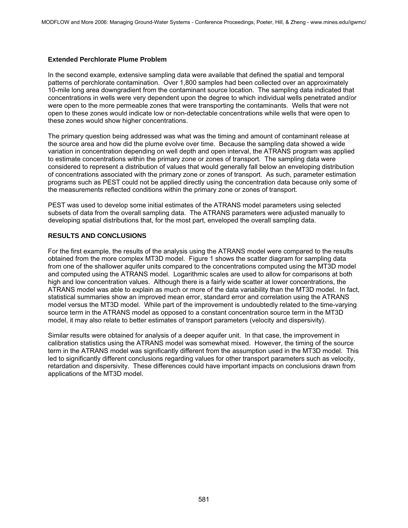#### **Extended Perchlorate Plume Problem**

In the second example, extensive sampling data were available that defined the spatial and temporal patterns of perchlorate contamination. Over 1,800 samples had been collected over an approximately 10-mile long area downgradient from the contaminant source location. The sampling data indicated that concentrations in wells were very dependent upon the degree to which individual wells penetrated and/or were open to the more permeable zones that were transporting the contaminants. Wells that were not open to these zones would indicate low or non-detectable concentrations while wells that were open to these zones would show higher concentrations.

The primary question being addressed was what was the timing and amount of contaminant release at the source area and how did the plume evolve over time. Because the sampling data showed a wide variation in concentration depending on well depth and open interval, the ATRANS program was applied to estimate concentrations within the primary zone or zones of transport. The sampling data were considered to represent a distribution of values that would generally fall below an enveloping distribution of concentrations associated with the primary zone or zones of transport. As such, parameter estimation programs such as PEST could not be applied directly using the concentration data because only some of the measurements reflected conditions within the primary zone or zones of transport.

PEST was used to develop some initial estimates of the ATRANS model parameters using selected subsets of data from the overall sampling data. The ATRANS parameters were adjusted manually to developing spatial distributions that, for the most part, enveloped the overall sampling data.

# **RESULTS AND CONCLUSIONS**

For the first example, the results of the analysis using the ATRANS model were compared to the results obtained from the more complex MT3D model. Figure 1 shows the scatter diagram for sampling data from one of the shallower aquifer units compared to the concentrations computed using the MT3D model and computed using the ATRANS model. Logarithmic scales are used to allow for comparisons at both high and low concentration values. Although there is a fairly wide scatter at lower concentrations, the ATRANS model was able to explain as much or more of the data variability than the MT3D model. In fact, statistical summaries show an improved mean error, standard error and correlation using the ATRANS model versus the MT3D model. While part of the improvement is undoubtedly related to the time-varying source term in the ATRANS model as opposed to a constant concentration source term in the MT3D model, it may also relate to better estimates of transport parameters (velocity and dispersivity).

Similar results were obtained for analysis of a deeper aquifer unit. In that case, the improvement in calibration statistics using the ATRANS model was somewhat mixed. However, the timing of the source term in the ATRANS model was significantly different from the assumption used in the MT3D model. This led to significantly different conclusions regarding values for other transport parameters such as velocity, retardation and dispersivity. These differences could have important impacts on conclusions drawn from applications of the MT3D model.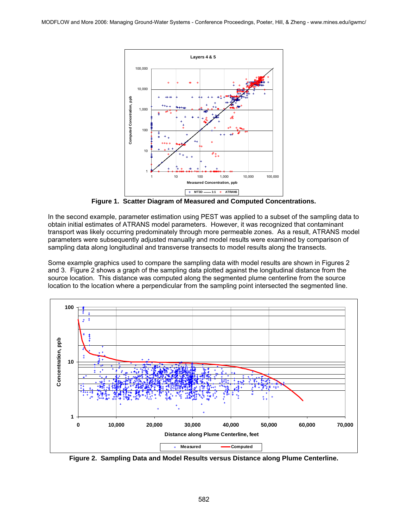

**Figure 1. Scatter Diagram of Measured and Computed Concentrations.** 

In the second example, parameter estimation using PEST was applied to a subset of the sampling data to obtain initial estimates of ATRANS model parameters. However, it was recognized that contaminant transport was likely occurring predominately through more permeable zones. As a result, ATRANS model parameters were subsequently adjusted manually and model results were examined by comparison of sampling data along longitudinal and transverse transects to model results along the transects.

Some example graphics used to compare the sampling data with model results are shown in Figures 2 and 3. Figure 2 shows a graph of the sampling data plotted against the longitudinal distance from the source location. This distance was computed along the segmented plume centerline from the source location to the location where a perpendicular from the sampling point intersected the segmented line.



**Figure 2. Sampling Data and Model Results versus Distance along Plume Centerline.**